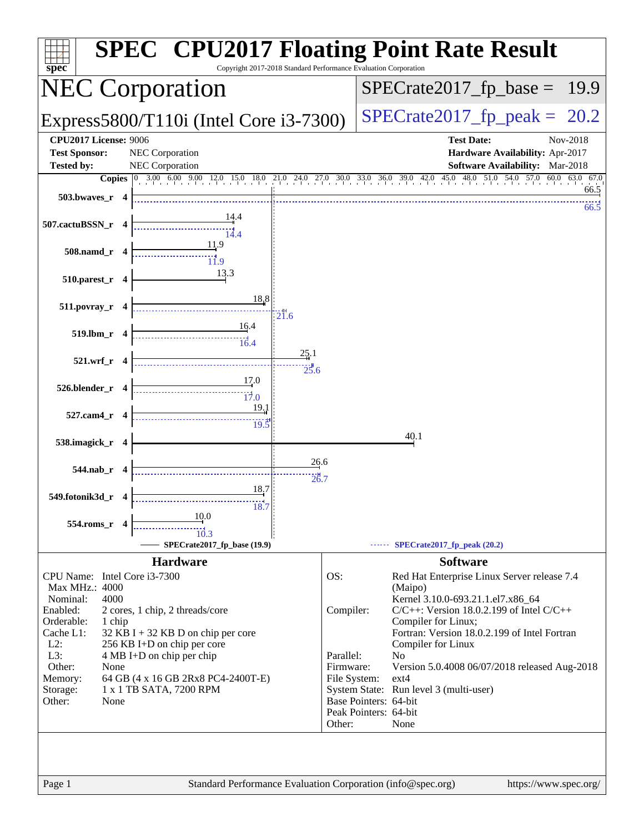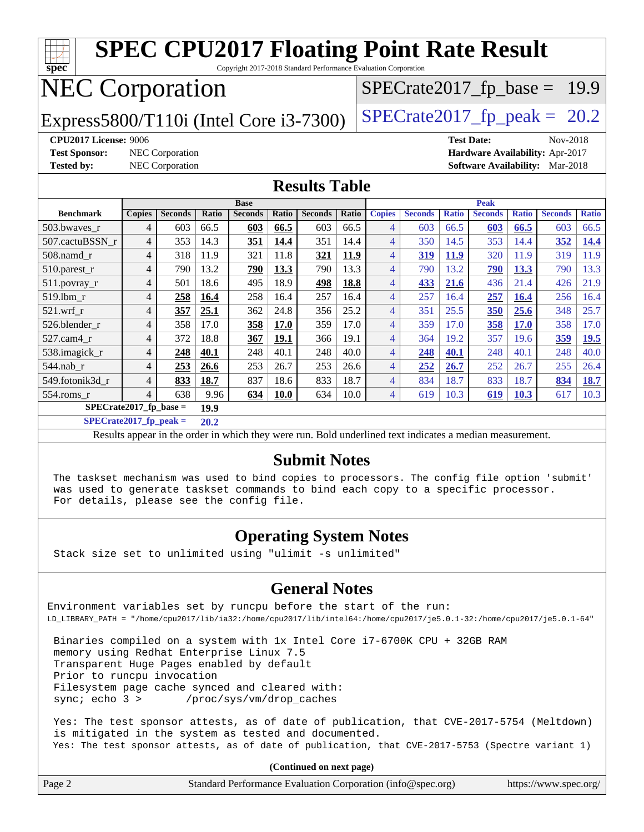| <b>SPEC CPU2017 Floating Point Rate Result</b><br>spec<br>Copyright 2017-2018 Standard Performance Evaluation Corporation |                |                        |       |                |             |                |       |                |                |              |                |              |                                        |              |
|---------------------------------------------------------------------------------------------------------------------------|----------------|------------------------|-------|----------------|-------------|----------------|-------|----------------|----------------|--------------|----------------|--------------|----------------------------------------|--------------|
| <b>NEC Corporation</b><br>$SPECrate2017_fp\_base =$<br>19.9                                                               |                |                        |       |                |             |                |       |                |                |              |                |              |                                        |              |
| $SPECrate2017_fp\_peak = 20.2$<br>Express5800/T110i (Intel Core i3-7300)                                                  |                |                        |       |                |             |                |       |                |                |              |                |              |                                        |              |
| <b>CPU2017 License: 9006</b><br><b>Test Date:</b><br>Nov-2018                                                             |                |                        |       |                |             |                |       |                |                |              |                |              |                                        |              |
| <b>Test Sponsor:</b>                                                                                                      |                | <b>NEC</b> Corporation |       |                |             |                |       |                |                |              |                |              | Hardware Availability: Apr-2017        |              |
| <b>Tested by:</b>                                                                                                         |                | <b>NEC Corporation</b> |       |                |             |                |       |                |                |              |                |              | <b>Software Availability:</b> Mar-2018 |              |
| <b>Results Table</b>                                                                                                      |                |                        |       |                |             |                |       |                |                |              |                |              |                                        |              |
|                                                                                                                           |                |                        |       | <b>Base</b>    |             |                |       |                |                |              | <b>Peak</b>    |              |                                        |              |
| <b>Benchmark</b>                                                                                                          | <b>Copies</b>  | <b>Seconds</b>         | Ratio | <b>Seconds</b> | Ratio       | <b>Seconds</b> | Ratio | <b>Copies</b>  | <b>Seconds</b> | <b>Ratio</b> | <b>Seconds</b> | <b>Ratio</b> | <b>Seconds</b>                         | <b>Ratio</b> |
| 503.bwaves_r                                                                                                              | $\overline{4}$ | 603                    | 66.5  | 603            | 66.5        | 603            | 66.5  | $\overline{4}$ | 603            | 66.5         | 603            | 66.5         | 603                                    | 66.5         |
| 507.cactuBSSN r                                                                                                           | 4              | 353                    | 14.3  | <b>351</b>     | 14.4        | 351            | 14.4  | $\overline{4}$ | 350            | 14.5         | 353            | 14.4         | 352                                    | <u>14.4</u>  |
| 508.namd_r                                                                                                                | $\overline{4}$ | 318                    | 11.9  | 321            | 11.8        | 321            | 11.9  | $\overline{4}$ | 319            | <b>11.9</b>  | 320            | 11.9         | 319                                    | 11.9         |
| 510.parest_r                                                                                                              | $\overline{4}$ | 790                    | 13.2  | 790            | 13.3        | 790            | 13.3  | $\overline{4}$ | 790            | 13.2         | 790            | 13.3         | 790                                    | 13.3         |
| 511.povray_r                                                                                                              | $\overline{4}$ | 501                    | 18.6  | 495            | 18.9        | 498            | 18.8  | $\overline{4}$ | 433            | 21.6         | 436            | 21.4         | 426                                    | 21.9         |
| 519.lbm r                                                                                                                 | $\overline{4}$ | 258                    | 16.4  | 258            | 16.4        | 257            | 16.4  | $\overline{4}$ | 257            | 16.4         | 257            | <b>16.4</b>  | 256                                    | 16.4         |
| $521$ .wrf r                                                                                                              | $\overline{4}$ | 357                    | 25.1  | 362            | 24.8        | 356            | 25.2  | $\overline{4}$ | 351            | 25.5         | 350            | 25.6         | 348                                    | 25.7         |
| 526.blender_r                                                                                                             | 4              | 358                    | 17.0  | 358            | 17.0        | 359            | 17.0  | $\overline{4}$ | 359            | 17.0         | 358            | <b>17.0</b>  | 358                                    | 17.0         |
| 527.cam4_r                                                                                                                | $\overline{4}$ | 372                    | 18.8  | 367            | 19.1        | 366            | 19.1  | $\overline{4}$ | 364            | 19.2         | 357            | 19.6         | 359                                    | 19.5         |
| 538.imagick_r                                                                                                             | 4              | 248                    | 40.1  | 248            | 40.1        | 248            | 40.0  | $\overline{4}$ | 248            | 40.1         | 248            | 40.1         | 248                                    | 40.0         |
| 544.nab_r                                                                                                                 | $\overline{4}$ | 253                    | 26.6  | 253            | 26.7        | 253            | 26.6  | $\overline{4}$ | 252            | 26.7         | 252            | 26.7         | 255                                    | 26.4         |
| 549.fotonik3d r                                                                                                           | $\overline{4}$ | 833                    | 18.7  | 837            | 18.6        | 833            | 18.7  | $\overline{4}$ | 834            | 18.7         | 833            | 18.7         | 834                                    | 18.7         |
| 554.roms r                                                                                                                | $\Delta$       | 638                    | 9.96  | 634            | <b>10.0</b> | 634            | 10.0  | $\overline{4}$ | 619            | 10.3         | 619            | <b>10.3</b>  | 617                                    | 10.3         |
| $SPECrate2017_fp\_base =$                                                                                                 |                |                        | 19.9  |                |             |                |       |                |                |              |                |              |                                        |              |
| $SPECrate2017_fp\_peak =$                                                                                                 |                |                        | 20.2  |                |             |                |       |                |                |              |                |              |                                        |              |
| Results appear in the order in which they were run. Bold underlined text indicates a median measurement.                  |                |                        |       |                |             |                |       |                |                |              |                |              |                                        |              |

#### **[Submit Notes](http://www.spec.org/auto/cpu2017/Docs/result-fields.html#SubmitNotes)**

 The taskset mechanism was used to bind copies to processors. The config file option 'submit' was used to generate taskset commands to bind each copy to a specific processor. For details, please see the config file.

### **[Operating System Notes](http://www.spec.org/auto/cpu2017/Docs/result-fields.html#OperatingSystemNotes)**

Stack size set to unlimited using "ulimit -s unlimited"

### **[General Notes](http://www.spec.org/auto/cpu2017/Docs/result-fields.html#GeneralNotes)**

Environment variables set by runcpu before the start of the run: LD\_LIBRARY\_PATH = "/home/cpu2017/lib/ia32:/home/cpu2017/lib/intel64:/home/cpu2017/je5.0.1-32:/home/cpu2017/je5.0.1-64"

 Binaries compiled on a system with 1x Intel Core i7-6700K CPU + 32GB RAM memory using Redhat Enterprise Linux 7.5 Transparent Huge Pages enabled by default Prior to runcpu invocation Filesystem page cache synced and cleared with: sync; echo 3 > /proc/sys/vm/drop\_caches

 Yes: The test sponsor attests, as of date of publication, that CVE-2017-5754 (Meltdown) is mitigated in the system as tested and documented. Yes: The test sponsor attests, as of date of publication, that CVE-2017-5753 (Spectre variant 1)

**(Continued on next page)**

| Page 2 | Standard Performance Evaluation Corporation (info@spec.org) | https://www.spec.org/ |
|--------|-------------------------------------------------------------|-----------------------|
|--------|-------------------------------------------------------------|-----------------------|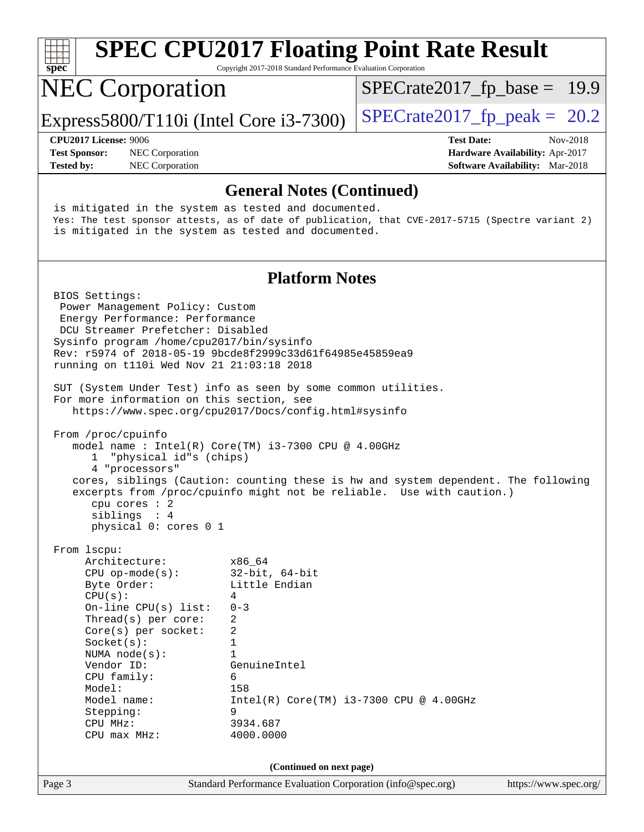| spec                                                                                                                                                                                                                                                                                                                                                                                                                                                                                                                                                                                                                                                                                                                                                                                                             | Copyright 2017-2018 Standard Performance Evaluation Corporation                                                                                                                                       | <b>SPEC CPU2017 Floating Point Rate Result</b> |                                                                                       |
|------------------------------------------------------------------------------------------------------------------------------------------------------------------------------------------------------------------------------------------------------------------------------------------------------------------------------------------------------------------------------------------------------------------------------------------------------------------------------------------------------------------------------------------------------------------------------------------------------------------------------------------------------------------------------------------------------------------------------------------------------------------------------------------------------------------|-------------------------------------------------------------------------------------------------------------------------------------------------------------------------------------------------------|------------------------------------------------|---------------------------------------------------------------------------------------|
| <b>NEC Corporation</b>                                                                                                                                                                                                                                                                                                                                                                                                                                                                                                                                                                                                                                                                                                                                                                                           |                                                                                                                                                                                                       | $SPECrate2017_fp\_base = 19.9$                 |                                                                                       |
| Express5800/T110i (Intel Core i3-7300)                                                                                                                                                                                                                                                                                                                                                                                                                                                                                                                                                                                                                                                                                                                                                                           |                                                                                                                                                                                                       | $SPECrate2017_fp\_peak = 20.2$                 |                                                                                       |
| CPU2017 License: 9006<br><b>Test Sponsor:</b><br>NEC Corporation<br><b>Tested by:</b><br>NEC Corporation                                                                                                                                                                                                                                                                                                                                                                                                                                                                                                                                                                                                                                                                                                         |                                                                                                                                                                                                       | <b>Test Date:</b>                              | Nov-2018<br>Hardware Availability: Apr-2017<br><b>Software Availability:</b> Mar-2018 |
|                                                                                                                                                                                                                                                                                                                                                                                                                                                                                                                                                                                                                                                                                                                                                                                                                  | <b>General Notes (Continued)</b>                                                                                                                                                                      |                                                |                                                                                       |
| is mitigated in the system as tested and documented.<br>Yes: The test sponsor attests, as of date of publication, that CVE-2017-5715 (Spectre variant 2)<br>is mitigated in the system as tested and documented.                                                                                                                                                                                                                                                                                                                                                                                                                                                                                                                                                                                                 |                                                                                                                                                                                                       |                                                |                                                                                       |
|                                                                                                                                                                                                                                                                                                                                                                                                                                                                                                                                                                                                                                                                                                                                                                                                                  | <b>Platform Notes</b>                                                                                                                                                                                 |                                                |                                                                                       |
| BIOS Settings:<br>Power Management Policy: Custom<br>Energy Performance: Performance<br>DCU Streamer Prefetcher: Disabled<br>Sysinfo program /home/cpu2017/bin/sysinfo<br>Rev: r5974 of 2018-05-19 9bcde8f2999c33d61f64985e45859ea9<br>running on t110i Wed Nov 21 21:03:18 2018<br>SUT (System Under Test) info as seen by some common utilities.<br>For more information on this section, see<br>https://www.spec.org/cpu2017/Docs/config.html#sysinfo<br>From /proc/cpuinfo<br>model name : Intel(R) Core(TM) i3-7300 CPU @ 4.00GHz<br>"physical id"s (chips)<br>1<br>4 "processors"<br>cores, siblings (Caution: counting these is hw and system dependent. The following<br>excerpts from /proc/cpuinfo might not be reliable. Use with caution.)<br>cpu cores : 2<br>siblings : 4<br>physical 0: cores 0 1 |                                                                                                                                                                                                       |                                                |                                                                                       |
| From 1scpu:<br>Architecture:<br>$CPU$ op-mode( $s$ ):<br>Byte Order:<br>CPU(s):<br>On-line CPU(s) list:<br>Thread(s) per core:<br>Core(s) per socket:<br>Socket(s):<br>NUMA $node(s):$<br>Vendor ID:<br>CPU family:<br>Model:<br>Model name:<br>Stepping:<br>CPU MHz:<br>$CPU$ max $MHz:$                                                                                                                                                                                                                                                                                                                                                                                                                                                                                                                        | x86 64<br>$32$ -bit, $64$ -bit<br>Little Endian<br>4<br>$0 - 3$<br>2<br>2<br>1<br>$\mathbf{1}$<br>GenuineIntel<br>6<br>158<br>$Intel(R) Core(TM) i3-7300 CPU @ 4.00GHz$<br>9<br>3934.687<br>4000.0000 |                                                |                                                                                       |
|                                                                                                                                                                                                                                                                                                                                                                                                                                                                                                                                                                                                                                                                                                                                                                                                                  | (Continued on next page)                                                                                                                                                                              |                                                |                                                                                       |
| Page 3                                                                                                                                                                                                                                                                                                                                                                                                                                                                                                                                                                                                                                                                                                                                                                                                           | Standard Performance Evaluation Corporation (info@spec.org)                                                                                                                                           |                                                | https://www.spec.org/                                                                 |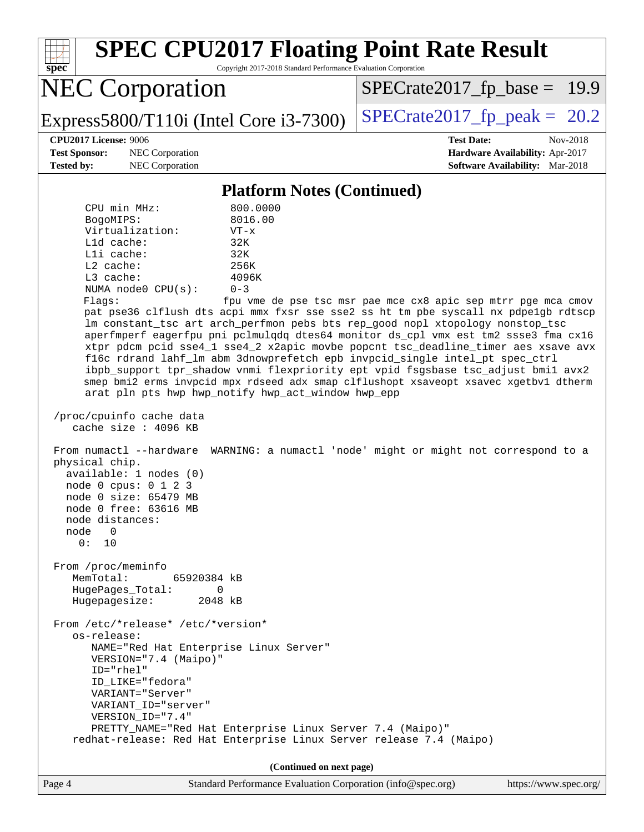| <b>SPEC CPU2017 Floating Point Rate Result</b><br>Copyright 2017-2018 Standard Performance Evaluation Corporation                                                                                                                                                                                                                                                                                                                                                                                                                                                                                                                                                                                                                                                                                 |
|---------------------------------------------------------------------------------------------------------------------------------------------------------------------------------------------------------------------------------------------------------------------------------------------------------------------------------------------------------------------------------------------------------------------------------------------------------------------------------------------------------------------------------------------------------------------------------------------------------------------------------------------------------------------------------------------------------------------------------------------------------------------------------------------------|
| $SPECrate2017_fp\_base = 19.9$                                                                                                                                                                                                                                                                                                                                                                                                                                                                                                                                                                                                                                                                                                                                                                    |
| $SPECrate2017_fp\_peak = 20.2$                                                                                                                                                                                                                                                                                                                                                                                                                                                                                                                                                                                                                                                                                                                                                                    |
| <b>Test Date:</b><br>Nov-2018<br>Hardware Availability: Apr-2017<br><b>Software Availability:</b> Mar-2018                                                                                                                                                                                                                                                                                                                                                                                                                                                                                                                                                                                                                                                                                        |
| <b>Platform Notes (Continued)</b>                                                                                                                                                                                                                                                                                                                                                                                                                                                                                                                                                                                                                                                                                                                                                                 |
| fpu vme de pse tsc msr pae mce cx8 apic sep mtrr pge mca cmov<br>pat pse36 clflush dts acpi mmx fxsr sse sse2 ss ht tm pbe syscall nx pdpelgb rdtscp<br>lm constant_tsc art arch_perfmon pebs bts rep_good nopl xtopology nonstop_tsc<br>aperfmperf eagerfpu pni pclmulqdq dtes64 monitor ds_cpl vmx est tm2 ssse3 fma cx16<br>xtpr pdcm pcid sse4_1 sse4_2 x2apic movbe popcnt tsc_deadline_timer aes xsave avx<br>f16c rdrand lahf_lm abm 3dnowprefetch epb invpcid_single intel_pt spec_ctrl<br>ibpb_support tpr_shadow vnmi flexpriority ept vpid fsgsbase tsc_adjust bmil avx2<br>smep bmi2 erms invpcid mpx rdseed adx smap clflushopt xsaveopt xsavec xgetbv1 dtherm<br>arat pln pts hwp hwp_notify hwp_act_window hwp_epp<br>WARNING: a numactl 'node' might or might not correspond to a |
|                                                                                                                                                                                                                                                                                                                                                                                                                                                                                                                                                                                                                                                                                                                                                                                                   |
| PRETTY_NAME="Red Hat Enterprise Linux Server 7.4 (Maipo)"<br>redhat-release: Red Hat Enterprise Linux Server release 7.4 (Maipo)<br>(Continued on next page)                                                                                                                                                                                                                                                                                                                                                                                                                                                                                                                                                                                                                                      |
|                                                                                                                                                                                                                                                                                                                                                                                                                                                                                                                                                                                                                                                                                                                                                                                                   |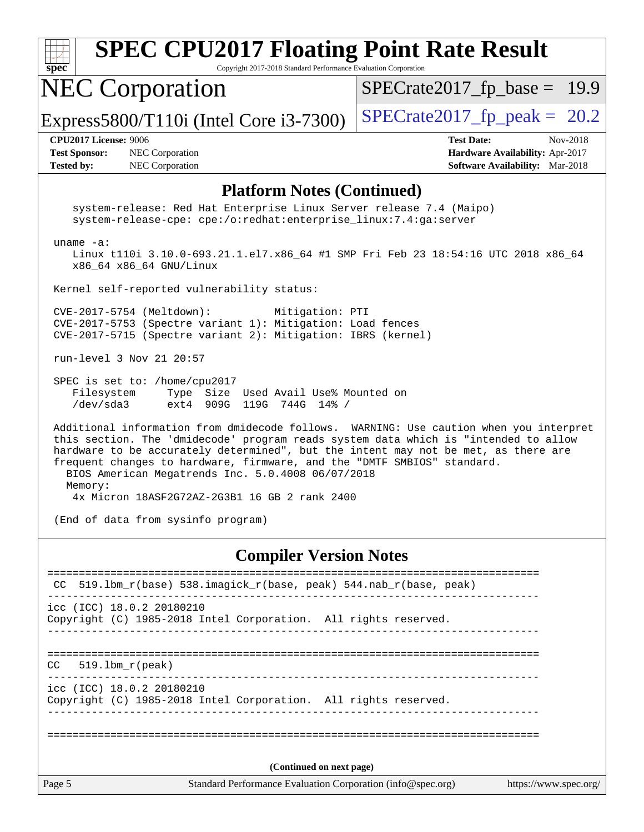| <b>SPEC CPU2017 Floating Point Rate Result</b><br>$spec*$<br>Copyright 2017-2018 Standard Performance Evaluation Corporation                                                                                                                                                                                                                                                                                   |                                                                                                            |
|----------------------------------------------------------------------------------------------------------------------------------------------------------------------------------------------------------------------------------------------------------------------------------------------------------------------------------------------------------------------------------------------------------------|------------------------------------------------------------------------------------------------------------|
| <b>NEC Corporation</b>                                                                                                                                                                                                                                                                                                                                                                                         | $SPECrate2017_fp\_base = 19.9$                                                                             |
| Express5800/T110i (Intel Core $i3-7300$ )                                                                                                                                                                                                                                                                                                                                                                      | $SPECTate2017$ _fp_peak = 20.2                                                                             |
| <b>CPU2017 License: 9006</b><br><b>Test Sponsor:</b><br>NEC Corporation<br><b>Tested by:</b><br>NEC Corporation                                                                                                                                                                                                                                                                                                | <b>Test Date:</b><br>Nov-2018<br>Hardware Availability: Apr-2017<br><b>Software Availability:</b> Mar-2018 |
| <b>Platform Notes (Continued)</b>                                                                                                                                                                                                                                                                                                                                                                              |                                                                                                            |
| system-release: Red Hat Enterprise Linux Server release 7.4 (Maipo)<br>system-release-cpe: cpe:/o:redhat:enterprise_linux:7.4:ga:server                                                                                                                                                                                                                                                                        |                                                                                                            |
| uname $-a$ :<br>Linux t110i 3.10.0-693.21.1.el7.x86_64 #1 SMP Fri Feb 23 18:54:16 UTC 2018 x86_64<br>x86_64 x86_64 GNU/Linux                                                                                                                                                                                                                                                                                   |                                                                                                            |
| Kernel self-reported vulnerability status:                                                                                                                                                                                                                                                                                                                                                                     |                                                                                                            |
| CVE-2017-5754 (Meltdown):<br>Mitigation: PTI<br>CVE-2017-5753 (Spectre variant 1): Mitigation: Load fences<br>CVE-2017-5715 (Spectre variant 2): Mitigation: IBRS (kernel)                                                                                                                                                                                                                                     |                                                                                                            |
| run-level 3 Nov 21 20:57                                                                                                                                                                                                                                                                                                                                                                                       |                                                                                                            |
| SPEC is set to: /home/cpu2017<br>Filesystem<br>Type Size Used Avail Use% Mounted on<br>/dev/sda3<br>ext4 909G 119G 744G 14% /                                                                                                                                                                                                                                                                                  |                                                                                                            |
| Additional information from dmidecode follows. WARNING: Use caution when you interpret<br>this section. The 'dmidecode' program reads system data which is "intended to allow<br>hardware to be accurately determined", but the intent may not be met, as there are<br>frequent changes to hardware, firmware, and the "DMTF SMBIOS" standard.<br>BIOS American Megatrends Inc. 5.0.4008 06/07/2018<br>Memory: |                                                                                                            |
| 4x Micron 18ASF2G72AZ-2G3B1 16 GB 2 rank 2400                                                                                                                                                                                                                                                                                                                                                                  |                                                                                                            |
| (End of data from sysinfo program)                                                                                                                                                                                                                                                                                                                                                                             |                                                                                                            |
| <b>Compiler Version Notes</b>                                                                                                                                                                                                                                                                                                                                                                                  |                                                                                                            |
| 519.1bm_r(base) 538.imagick_r(base, peak) 544.nab_r(base, peak)<br>CC                                                                                                                                                                                                                                                                                                                                          |                                                                                                            |
| icc (ICC) 18.0.2 20180210<br>Copyright (C) 1985-2018 Intel Corporation. All rights reserved.                                                                                                                                                                                                                                                                                                                   |                                                                                                            |

============================================================================== CC 519.lbm\_r(peak)

----------------------------------------------------------------------------- icc (ICC) 18.0.2 20180210 Copyright (C) 1985-2018 Intel Corporation. All rights reserved.

------------------------------------------------------------------------------

==============================================================================

**(Continued on next page)**

Page 5 Standard Performance Evaluation Corporation [\(info@spec.org\)](mailto:info@spec.org) <https://www.spec.org/>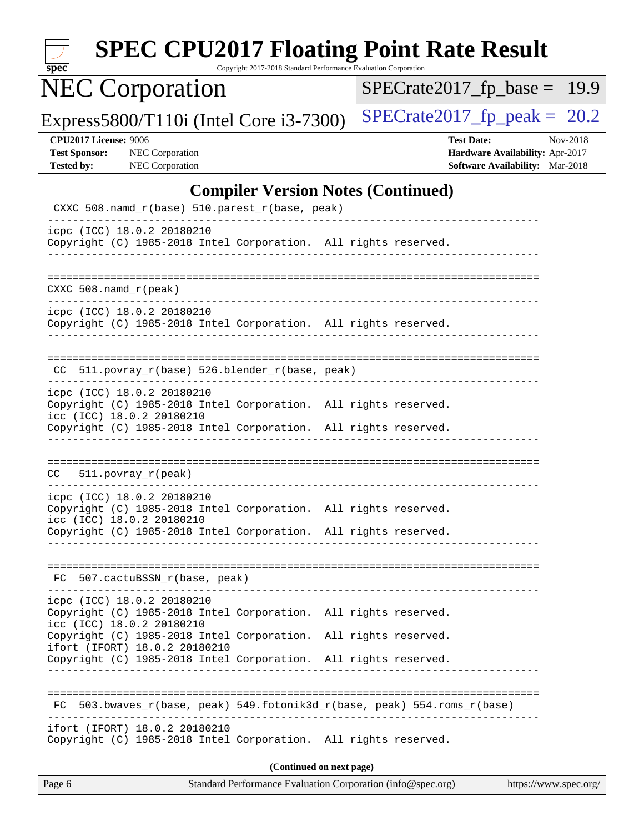| $spec^*$                                                                  | <b>SPEC CPU2017 Floating Point Rate Result</b>                                                                                                                                                | Copyright 2017-2018 Standard Performance Evaluation Corporation |                                                             |                   |                                                                    |          |
|---------------------------------------------------------------------------|-----------------------------------------------------------------------------------------------------------------------------------------------------------------------------------------------|-----------------------------------------------------------------|-------------------------------------------------------------|-------------------|--------------------------------------------------------------------|----------|
|                                                                           | <b>NEC Corporation</b>                                                                                                                                                                        |                                                                 | $SPECrate2017_fp\_base =$                                   |                   |                                                                    | 19.9     |
|                                                                           | Express5800/T110i (Intel Core i3-7300)                                                                                                                                                        |                                                                 | $SPECrate2017_fp\_peak = 20.2$                              |                   |                                                                    |          |
| <b>CPU2017 License: 9006</b><br><b>Test Sponsor:</b><br><b>Tested by:</b> | <b>NEC</b> Corporation<br>NEC Corporation                                                                                                                                                     |                                                                 |                                                             | <b>Test Date:</b> | Hardware Availability: Apr-2017<br>Software Availability: Mar-2018 | Nov-2018 |
|                                                                           |                                                                                                                                                                                               |                                                                 | <b>Compiler Version Notes (Continued)</b>                   |                   |                                                                    |          |
|                                                                           | CXXC 508.namd_r(base) 510.parest_r(base, peak)                                                                                                                                                |                                                                 |                                                             |                   |                                                                    |          |
|                                                                           | icpc (ICC) 18.0.2 20180210<br>Copyright (C) 1985-2018 Intel Corporation. All rights reserved.                                                                                                 |                                                                 |                                                             |                   |                                                                    |          |
| $CXXC 508.namd_r (peak)$                                                  |                                                                                                                                                                                               |                                                                 |                                                             |                   |                                                                    |          |
|                                                                           | icpc (ICC) 18.0.2 20180210<br>Copyright (C) 1985-2018 Intel Corporation. All rights reserved.                                                                                                 |                                                                 |                                                             |                   |                                                                    |          |
|                                                                           | 511.povray_r(base) 526.blender_r(base, peak)                                                                                                                                                  |                                                                 |                                                             |                   |                                                                    |          |
|                                                                           | icpc (ICC) 18.0.2 20180210<br>Copyright (C) 1985-2018 Intel Corporation. All rights reserved.<br>icc (ICC) 18.0.2 20180210<br>Copyright (C) 1985-2018 Intel Corporation. All rights reserved. |                                                                 |                                                             |                   |                                                                    |          |
| CC.                                                                       | $511. povray_r (peak)$                                                                                                                                                                        |                                                                 |                                                             |                   |                                                                    |          |
|                                                                           | icpc (ICC) 18.0.2 20180210<br>Copyright (C) 1985-2018 Intel Corporation. All rights reserved.<br>icc (ICC) 18.0.2 20180210<br>Copyright (C) 1985-2018 Intel Corporation. All rights reserved. |                                                                 |                                                             |                   |                                                                    |          |
|                                                                           | FC 507.cactuBSSN_r(base, peak)                                                                                                                                                                |                                                                 |                                                             |                   |                                                                    |          |
|                                                                           | icpc (ICC) 18.0.2 20180210<br>Copyright (C) 1985-2018 Intel Corporation. All rights reserved.<br>icc (ICC) 18.0.2 20180210                                                                    |                                                                 |                                                             |                   |                                                                    |          |
|                                                                           | Copyright (C) 1985-2018 Intel Corporation. All rights reserved.<br>ifort (IFORT) 18.0.2 20180210<br>Copyright (C) 1985-2018 Intel Corporation. All rights reserved.                           |                                                                 |                                                             |                   |                                                                    |          |
|                                                                           | FC 503.bwaves_r(base, peak) 549.fotonik3d_r(base, peak) 554.roms_r(base)                                                                                                                      |                                                                 |                                                             |                   |                                                                    |          |
|                                                                           | ifort (IFORT) 18.0.2 20180210<br>Copyright (C) 1985-2018 Intel Corporation. All rights reserved.                                                                                              |                                                                 |                                                             |                   |                                                                    |          |
|                                                                           |                                                                                                                                                                                               | (Continued on next page)                                        |                                                             |                   |                                                                    |          |
| Page 6                                                                    |                                                                                                                                                                                               |                                                                 | Standard Performance Evaluation Corporation (info@spec.org) |                   | https://www.spec.org/                                              |          |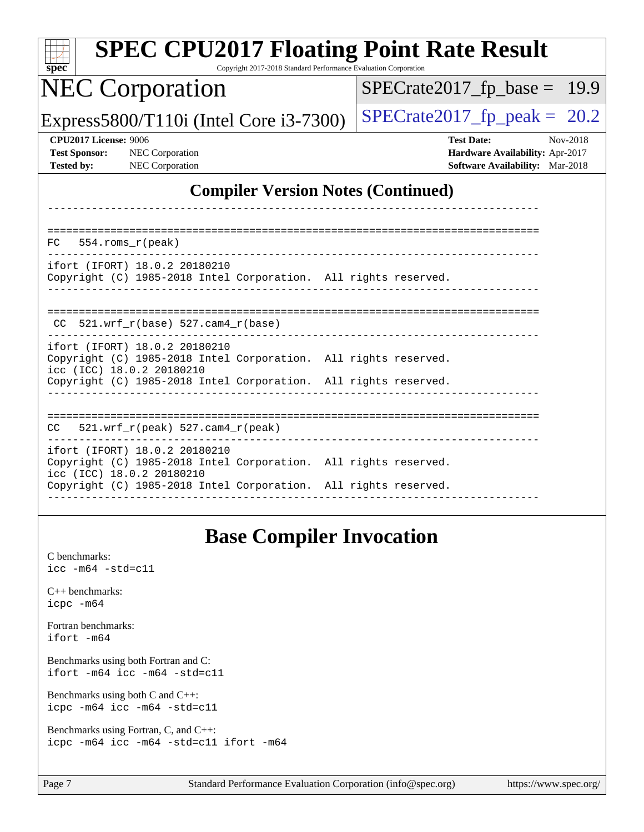| <b>SPEC CPU2017 Floating Point Rate Result</b><br>Copyright 2017-2018 Standard Performance Evaluation Corporation<br>$spec^*$ |                                                                                                     |
|-------------------------------------------------------------------------------------------------------------------------------|-----------------------------------------------------------------------------------------------------|
| <b>NEC Corporation</b>                                                                                                        | $SPECrate2017_fp\_base = 19.9$                                                                      |
| Express5800/T110i (Intel Core $i3-7300$ )                                                                                     | $SPECrate2017_fp\_peak = 20.2$                                                                      |
| <b>CPU2017 License: 9006</b><br><b>Test Sponsor:</b><br><b>NEC</b> Corporation<br>NEC Corporation<br><b>Tested by:</b>        | <b>Test Date:</b><br>Nov-2018<br>Hardware Availability: Apr-2017<br>Software Availability: Mar-2018 |
| <b>Compiler Version Notes (Continued)</b>                                                                                     |                                                                                                     |
|                                                                                                                               |                                                                                                     |
| $554.rows_r (peak)$<br>FC.<br>ifort (IFORT) 18.0.2 20180210                                                                   |                                                                                                     |
| Copyright (C) 1985-2018 Intel Corporation. All rights reserved.                                                               |                                                                                                     |
| $CC$ 521.wrf_r(base) 527.cam4_r(base)                                                                                         |                                                                                                     |
| ifort (IFORT) 18.0.2 20180210<br>Copyright (C) 1985-2018 Intel Corporation. All rights reserved.<br>icc (ICC) 18.0.2 20180210 |                                                                                                     |
| Copyright (C) 1985-2018 Intel Corporation. All rights reserved.                                                               |                                                                                                     |
| $521.wrf_r(peak)$ 527.cam4_r(peak)<br>CC.                                                                                     |                                                                                                     |
| ifort (IFORT) 18.0.2 20180210<br>Copyright (C) 1985-2018 Intel Corporation. All rights reserved.                              |                                                                                                     |
| icc (ICC) 18.0.2 20180210<br>Copyright (C) 1985-2018 Intel Corporation. All rights reserved.                                  |                                                                                                     |
|                                                                                                                               |                                                                                                     |
| <b>Base Compiler Invocation</b><br>C benchmarks:<br>$\text{icc}$ -m64 -std=c11                                                |                                                                                                     |
| $C_{++}$ benchmarks:<br>icpc -m64                                                                                             |                                                                                                     |
| Fortran benchmarks:<br>ifort -m64                                                                                             |                                                                                                     |
| Benchmarks using both Fortran and C:                                                                                          |                                                                                                     |

[ifort -m64](http://www.spec.org/cpu2017/results/res2018q4/cpu2017-20181126-09851.flags.html#user_CC_FCbase_intel_ifort_64bit_24f2bb282fbaeffd6157abe4f878425411749daecae9a33200eee2bee2fe76f3b89351d69a8130dd5949958ce389cf37ff59a95e7a40d588e8d3a57e0c3fd751) [icc -m64 -std=c11](http://www.spec.org/cpu2017/results/res2018q4/cpu2017-20181126-09851.flags.html#user_CC_FCbase_intel_icc_64bit_c11_33ee0cdaae7deeeab2a9725423ba97205ce30f63b9926c2519791662299b76a0318f32ddfffdc46587804de3178b4f9328c46fa7c2b0cd779d7a61945c91cd35) [Benchmarks using both C and C++](http://www.spec.org/auto/cpu2017/Docs/result-fields.html#BenchmarksusingbothCandCXX):

[icpc -m64](http://www.spec.org/cpu2017/results/res2018q4/cpu2017-20181126-09851.flags.html#user_CC_CXXbase_intel_icpc_64bit_4ecb2543ae3f1412ef961e0650ca070fec7b7afdcd6ed48761b84423119d1bf6bdf5cad15b44d48e7256388bc77273b966e5eb805aefd121eb22e9299b2ec9d9) [icc -m64 -std=c11](http://www.spec.org/cpu2017/results/res2018q4/cpu2017-20181126-09851.flags.html#user_CC_CXXbase_intel_icc_64bit_c11_33ee0cdaae7deeeab2a9725423ba97205ce30f63b9926c2519791662299b76a0318f32ddfffdc46587804de3178b4f9328c46fa7c2b0cd779d7a61945c91cd35)

[Benchmarks using Fortran, C, and C++:](http://www.spec.org/auto/cpu2017/Docs/result-fields.html#BenchmarksusingFortranCandCXX) [icpc -m64](http://www.spec.org/cpu2017/results/res2018q4/cpu2017-20181126-09851.flags.html#user_CC_CXX_FCbase_intel_icpc_64bit_4ecb2543ae3f1412ef961e0650ca070fec7b7afdcd6ed48761b84423119d1bf6bdf5cad15b44d48e7256388bc77273b966e5eb805aefd121eb22e9299b2ec9d9) [icc -m64 -std=c11](http://www.spec.org/cpu2017/results/res2018q4/cpu2017-20181126-09851.flags.html#user_CC_CXX_FCbase_intel_icc_64bit_c11_33ee0cdaae7deeeab2a9725423ba97205ce30f63b9926c2519791662299b76a0318f32ddfffdc46587804de3178b4f9328c46fa7c2b0cd779d7a61945c91cd35) [ifort -m64](http://www.spec.org/cpu2017/results/res2018q4/cpu2017-20181126-09851.flags.html#user_CC_CXX_FCbase_intel_ifort_64bit_24f2bb282fbaeffd6157abe4f878425411749daecae9a33200eee2bee2fe76f3b89351d69a8130dd5949958ce389cf37ff59a95e7a40d588e8d3a57e0c3fd751)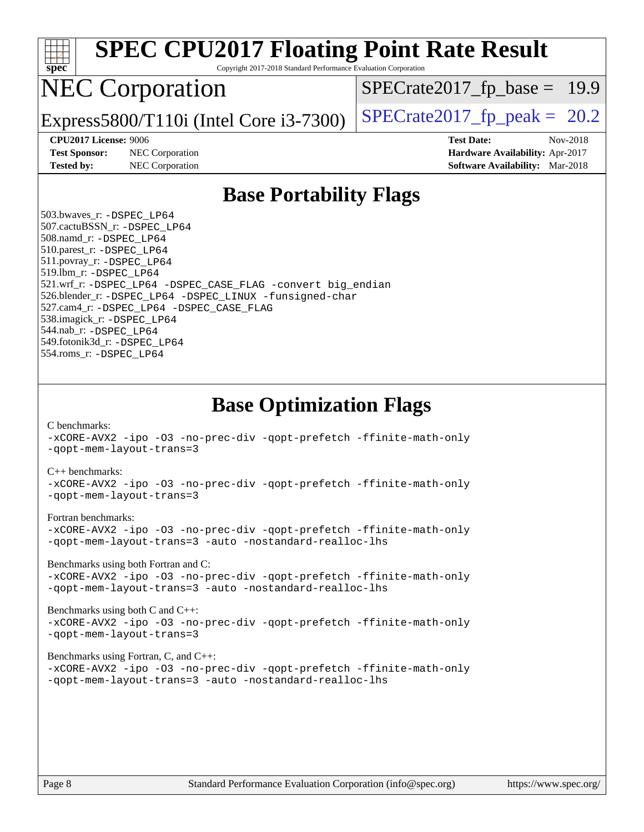

|  |  |  |                                                        | -xCORE-AVX2 -ipo -03 -no-prec-div -qopt-prefetch -ffinite-math-only |
|--|--|--|--------------------------------------------------------|---------------------------------------------------------------------|
|  |  |  | -qopt-mem-layout-trans=3 -auto -nostandard-realloc-lhs |                                                                     |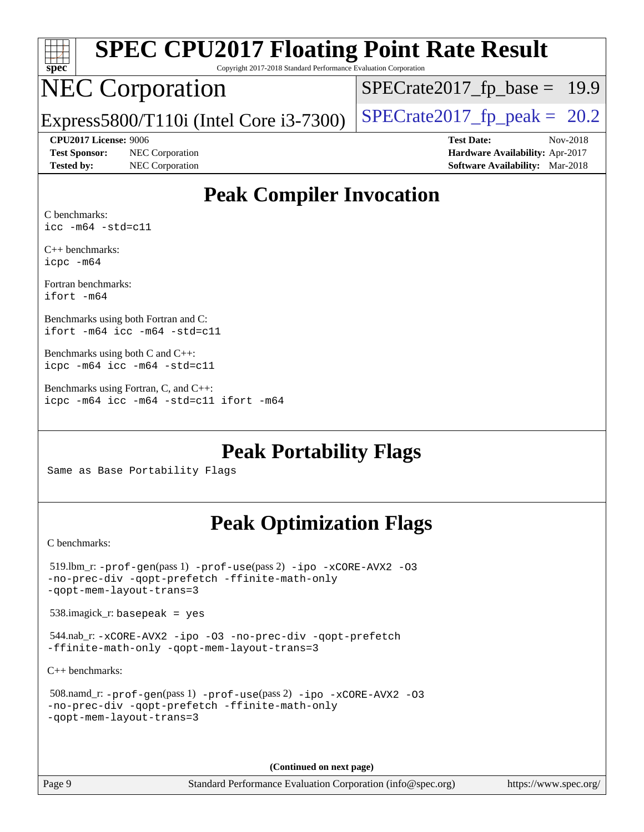| spe<br>U |  |  |  |  |  |  |
|----------|--|--|--|--|--|--|

# **[SPEC CPU2017 Floating Point Rate Result](http://www.spec.org/auto/cpu2017/Docs/result-fields.html#SPECCPU2017FloatingPointRateResult)**

Copyright 2017-2018 Standard Performance Evaluation Corporation

## NEC Corporation

 $SPECTate2017_fp\_base = 19.9$ 

Express5800/T110i (Intel Core i3-7300) [SPECrate2017\\_fp\\_peak =](http://www.spec.org/auto/cpu2017/Docs/result-fields.html#SPECrate2017fppeak)  $20.2$ 

**[Tested by:](http://www.spec.org/auto/cpu2017/Docs/result-fields.html#Testedby)** NEC Corporation **[Software Availability:](http://www.spec.org/auto/cpu2017/Docs/result-fields.html#SoftwareAvailability)** Mar-2018

**[CPU2017 License:](http://www.spec.org/auto/cpu2017/Docs/result-fields.html#CPU2017License)** 9006 **[Test Date:](http://www.spec.org/auto/cpu2017/Docs/result-fields.html#TestDate)** Nov-2018 **[Test Sponsor:](http://www.spec.org/auto/cpu2017/Docs/result-fields.html#TestSponsor)** NEC Corporation **[Hardware Availability:](http://www.spec.org/auto/cpu2017/Docs/result-fields.html#HardwareAvailability)** Apr-2017

## **[Peak Compiler Invocation](http://www.spec.org/auto/cpu2017/Docs/result-fields.html#PeakCompilerInvocation)**

[C benchmarks:](http://www.spec.org/auto/cpu2017/Docs/result-fields.html#Cbenchmarks) [icc -m64 -std=c11](http://www.spec.org/cpu2017/results/res2018q4/cpu2017-20181126-09851.flags.html#user_CCpeak_intel_icc_64bit_c11_33ee0cdaae7deeeab2a9725423ba97205ce30f63b9926c2519791662299b76a0318f32ddfffdc46587804de3178b4f9328c46fa7c2b0cd779d7a61945c91cd35)

[C++ benchmarks:](http://www.spec.org/auto/cpu2017/Docs/result-fields.html#CXXbenchmarks) [icpc -m64](http://www.spec.org/cpu2017/results/res2018q4/cpu2017-20181126-09851.flags.html#user_CXXpeak_intel_icpc_64bit_4ecb2543ae3f1412ef961e0650ca070fec7b7afdcd6ed48761b84423119d1bf6bdf5cad15b44d48e7256388bc77273b966e5eb805aefd121eb22e9299b2ec9d9)

[Fortran benchmarks](http://www.spec.org/auto/cpu2017/Docs/result-fields.html#Fortranbenchmarks): [ifort -m64](http://www.spec.org/cpu2017/results/res2018q4/cpu2017-20181126-09851.flags.html#user_FCpeak_intel_ifort_64bit_24f2bb282fbaeffd6157abe4f878425411749daecae9a33200eee2bee2fe76f3b89351d69a8130dd5949958ce389cf37ff59a95e7a40d588e8d3a57e0c3fd751)

[Benchmarks using both Fortran and C:](http://www.spec.org/auto/cpu2017/Docs/result-fields.html#BenchmarksusingbothFortranandC) [ifort -m64](http://www.spec.org/cpu2017/results/res2018q4/cpu2017-20181126-09851.flags.html#user_CC_FCpeak_intel_ifort_64bit_24f2bb282fbaeffd6157abe4f878425411749daecae9a33200eee2bee2fe76f3b89351d69a8130dd5949958ce389cf37ff59a95e7a40d588e8d3a57e0c3fd751) [icc -m64 -std=c11](http://www.spec.org/cpu2017/results/res2018q4/cpu2017-20181126-09851.flags.html#user_CC_FCpeak_intel_icc_64bit_c11_33ee0cdaae7deeeab2a9725423ba97205ce30f63b9926c2519791662299b76a0318f32ddfffdc46587804de3178b4f9328c46fa7c2b0cd779d7a61945c91cd35)

[Benchmarks using both C and C++](http://www.spec.org/auto/cpu2017/Docs/result-fields.html#BenchmarksusingbothCandCXX): [icpc -m64](http://www.spec.org/cpu2017/results/res2018q4/cpu2017-20181126-09851.flags.html#user_CC_CXXpeak_intel_icpc_64bit_4ecb2543ae3f1412ef961e0650ca070fec7b7afdcd6ed48761b84423119d1bf6bdf5cad15b44d48e7256388bc77273b966e5eb805aefd121eb22e9299b2ec9d9) [icc -m64 -std=c11](http://www.spec.org/cpu2017/results/res2018q4/cpu2017-20181126-09851.flags.html#user_CC_CXXpeak_intel_icc_64bit_c11_33ee0cdaae7deeeab2a9725423ba97205ce30f63b9926c2519791662299b76a0318f32ddfffdc46587804de3178b4f9328c46fa7c2b0cd779d7a61945c91cd35)

[Benchmarks using Fortran, C, and C++:](http://www.spec.org/auto/cpu2017/Docs/result-fields.html#BenchmarksusingFortranCandCXX) [icpc -m64](http://www.spec.org/cpu2017/results/res2018q4/cpu2017-20181126-09851.flags.html#user_CC_CXX_FCpeak_intel_icpc_64bit_4ecb2543ae3f1412ef961e0650ca070fec7b7afdcd6ed48761b84423119d1bf6bdf5cad15b44d48e7256388bc77273b966e5eb805aefd121eb22e9299b2ec9d9) [icc -m64 -std=c11](http://www.spec.org/cpu2017/results/res2018q4/cpu2017-20181126-09851.flags.html#user_CC_CXX_FCpeak_intel_icc_64bit_c11_33ee0cdaae7deeeab2a9725423ba97205ce30f63b9926c2519791662299b76a0318f32ddfffdc46587804de3178b4f9328c46fa7c2b0cd779d7a61945c91cd35) [ifort -m64](http://www.spec.org/cpu2017/results/res2018q4/cpu2017-20181126-09851.flags.html#user_CC_CXX_FCpeak_intel_ifort_64bit_24f2bb282fbaeffd6157abe4f878425411749daecae9a33200eee2bee2fe76f3b89351d69a8130dd5949958ce389cf37ff59a95e7a40d588e8d3a57e0c3fd751)

## **[Peak Portability Flags](http://www.spec.org/auto/cpu2017/Docs/result-fields.html#PeakPortabilityFlags)**

Same as Base Portability Flags

## **[Peak Optimization Flags](http://www.spec.org/auto/cpu2017/Docs/result-fields.html#PeakOptimizationFlags)**

[C benchmarks](http://www.spec.org/auto/cpu2017/Docs/result-fields.html#Cbenchmarks):

```
 519.lbm_r: -prof-gen(pass 1) -prof-use(pass 2) -ipo -xCORE-AVX2 -O3
-no-prec-div -qopt-prefetch -ffinite-math-only
-qopt-mem-layout-trans=3
 538.imagick_r: basepeak = yes
 544.nab_r: -xCORE-AVX2 -ipo -O3 -no-prec-div -qopt-prefetch
-ffinite-math-only -qopt-mem-layout-trans=3
C++ benchmarks: 
 508.namd_r: -prof-gen(pass 1) -prof-use(pass 2) -ipo -xCORE-AVX2 -O3
-no-prec-div -qopt-prefetch -ffinite-math-only
```

```
-qopt-mem-layout-trans=3
```
**(Continued on next page)**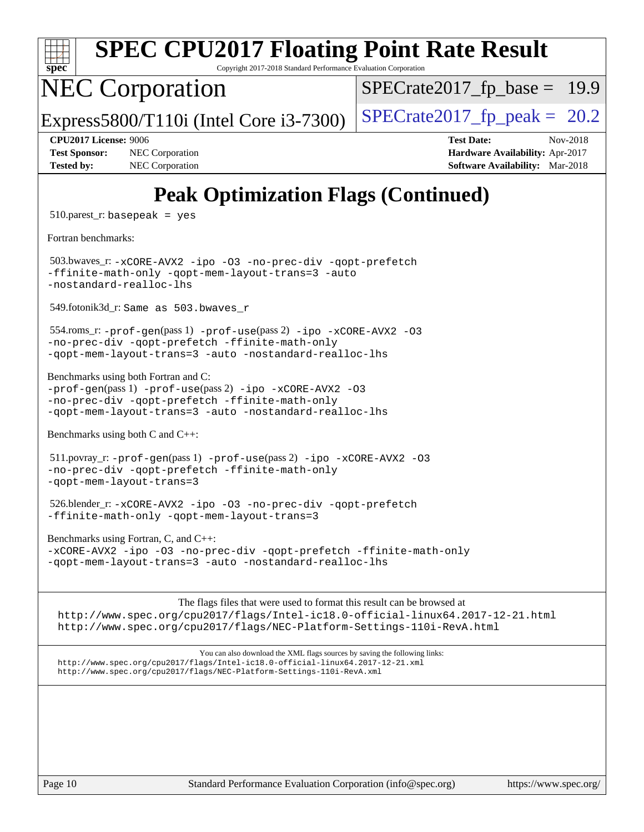